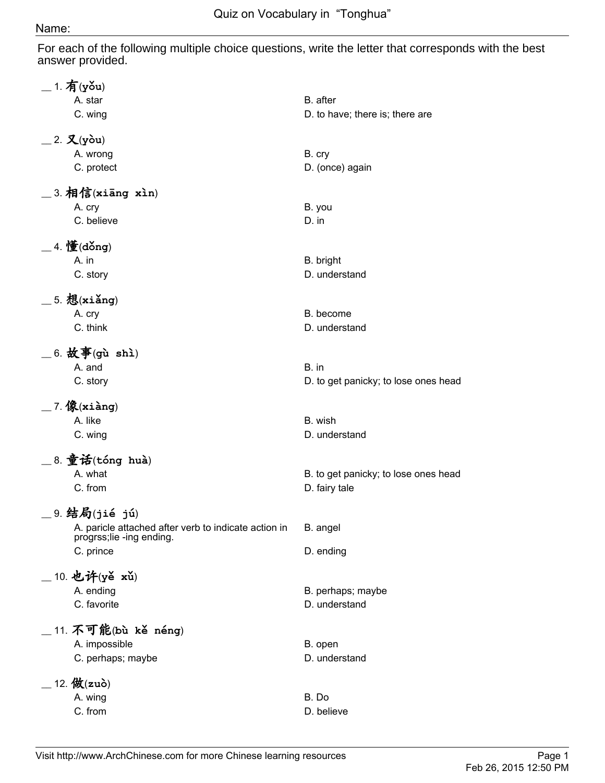## Name:

For each of the following multiple choice questions, write the letter that corresponds with the best answer provided.

| $\_$ 1. 有(yǒu)                                                                   |                                      |
|----------------------------------------------------------------------------------|--------------------------------------|
| A. star                                                                          | B. after                             |
| C. wing                                                                          | D. to have; there is; there are      |
| $\_$ 2. 又(yòu)                                                                   |                                      |
| A. wrong                                                                         | B. cry                               |
| C. protect                                                                       | D. (once) again                      |
| $\_$ 3. 相信(xiāng xìn)                                                            |                                      |
| A. cry                                                                           | B. you                               |
| C. believe                                                                       | $D.$ in                              |
| _ 4. 懂(dǒng)                                                                     |                                      |
| A. in                                                                            | B. bright                            |
| C. story                                                                         | D. understand                        |
| $\_$ 5. 想(xiǎng)                                                                 |                                      |
| A. cry                                                                           | B. become                            |
| C. think                                                                         | D. understand                        |
| $\_$ 6. 故事(gù shì)                                                               |                                      |
| A. and                                                                           | B. in                                |
| C. story                                                                         | D. to get panicky; to lose ones head |
| $\_$ 7. 像(xiàng)                                                                 |                                      |
| A. like                                                                          | B. wish                              |
|                                                                                  | D. understand                        |
| C. wing                                                                          |                                      |
| $\_$ 8. 童话(tóng huà)                                                             |                                      |
| A. what                                                                          | B. to get panicky; to lose ones head |
| C. from                                                                          | D. fairy tale                        |
| 9. 结局(jié jú)                                                                    |                                      |
| A. paricle attached after verb to indicate action in<br>progrss;lie -ing ending. | B. angel                             |
| C. prince                                                                        | D. ending                            |
| 10. 也许(yě xǔ)                                                                    |                                      |
| A. ending                                                                        | B. perhaps; maybe                    |
| C. favorite                                                                      | D. understand                        |
|                                                                                  |                                      |
| $\_$ 11. 不可能(bù kě néng)                                                         |                                      |
| A. impossible                                                                    | B. open                              |
| C. perhaps; maybe                                                                | D. understand                        |
| $12.$ 做 $(zu\delta)$                                                             |                                      |
| A. wing                                                                          | B. Do                                |
| C. from                                                                          | D. believe                           |
|                                                                                  |                                      |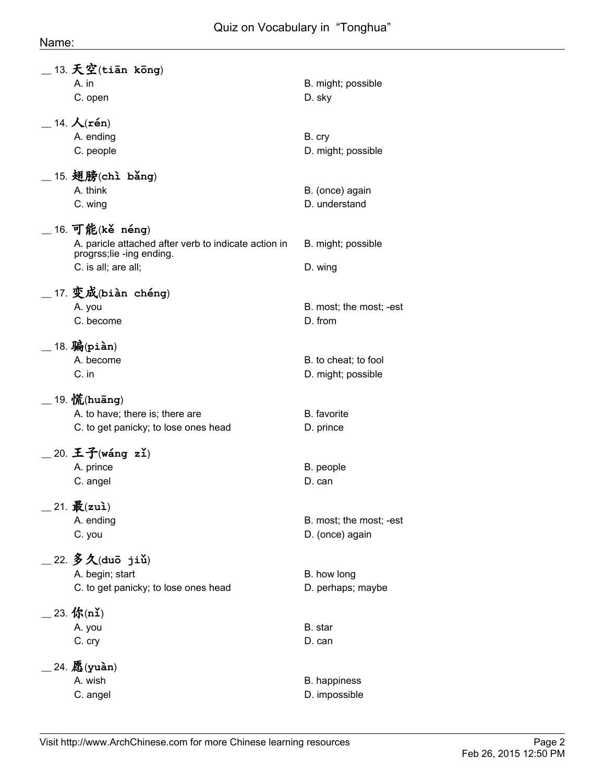| $\_$ 13. 天空(tiān kōng)<br>A. in                                              | B. might; possible           |
|------------------------------------------------------------------------------|------------------------------|
| C. open                                                                      | D. sky                       |
| $\_$ 14. $\mathcal{K}(\mathbf{r}\acute{\mathbf{e}}\mathbf{n})$               |                              |
| A. ending<br>C. people                                                       | B. cry<br>D. might; possible |
| $\_$ 15. 翅膀(chì bǎng)                                                        |                              |
| A. think                                                                     | B. (once) again              |
| C. wing                                                                      | D. understand                |
| $\_$ 16. 可能(kě néng)<br>A. paricle attached after verb to indicate action in | B. might; possible           |
| progrss;lie -ing ending.<br>C. is all; are all;                              | D. wing                      |
|                                                                              |                              |
| __ 17. 变成(biàn chéng)<br>A. you                                              | B. most; the most; -est      |
| C. become                                                                    | D. from                      |
| $\_$ 18. 骗(piàn)                                                             |                              |
| A. become                                                                    | B. to cheat; to fool         |
| C. in                                                                        | D. might; possible           |
| $\_$ 19. $\langle \mathbf{\hat{K}}$ (huāng)                                  |                              |
| A. to have; there is; there are<br>C. to get panicky; to lose ones head      | B. favorite<br>D. prince     |
|                                                                              |                              |
| $\_$ 20. 王子(wáng zǐ)<br>A. prince                                            | B. people                    |
| C. angel                                                                     | D. can                       |
| $21.$ 最 $(zu)$                                                               |                              |
| A. ending                                                                    | B. most; the most; -est      |
| C. you                                                                       | D. (once) again              |
| $\_$ 22. 多久(duō jiǔ)                                                         |                              |
| A. begin; start                                                              | B. how long                  |
| C. to get panicky; to lose ones head                                         | D. perhaps; maybe            |
| $23.$ 你(nǐ)                                                                  |                              |
| A. you<br>C. cry                                                             | B. star<br>D. can            |
|                                                                              |                              |
| $24.$ 愿(yuàn)<br>A. wish                                                     | B. happiness                 |
| C. angel                                                                     | D. impossible                |
|                                                                              |                              |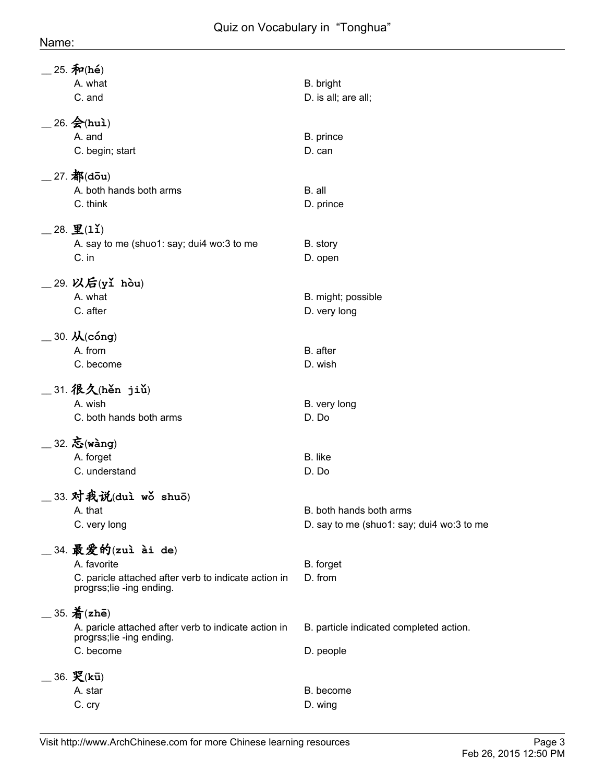| $25.$ 和 $(hé)$<br>A. what<br>C. and                                                                                    | B. bright<br>D. is all; are all;                                     |
|------------------------------------------------------------------------------------------------------------------------|----------------------------------------------------------------------|
| $26.$ $\bigotimes$ (huì)<br>A. and<br>C. begin; start                                                                  | B. prince<br>D. can                                                  |
| $27.$ 都(dou)<br>A. both hands both arms<br>C. think                                                                    | B. all<br>D. prince                                                  |
| $28. \underline{P}(11)$<br>A. say to me (shuo1: say; dui4 wo:3 to me<br>C. in                                          | B. story<br>D. open                                                  |
| 29. 以后(yǐ hòu)<br>A. what<br>C. after                                                                                  | B. might; possible<br>D. very long                                   |
| $\_$ 30. $\cal{K}$ (cóng)<br>A. from<br>C. become                                                                      | B. after<br>D. wish                                                  |
| _31. 很久(hěn jiǔ)<br>A. wish<br>C. both hands both arms                                                                 | B. very long<br>D. Do                                                |
| 32. 忘(wàng)<br>A. forget<br>C. understand                                                                              | B. like<br>D. Do                                                     |
| 33. 对我说(duì wǒ shuō)<br>A. that<br>C. very long                                                                        | B. both hands both arms<br>D. say to me (shuo1: say; dui4 wo:3 to me |
| _34. 最爱的(zuì ài de)<br>A. favorite<br>C. paricle attached after verb to indicate action in<br>progrss;lie -ing ending. | B. forget<br>D. from                                                 |
| $=$ 35. $\frac{2}{3}$ (zhē)<br>A. paricle attached after verb to indicate action in<br>progrss;lie -ing ending.        | B. particle indicated completed action.                              |
| C. become<br>36. 哭(kū)<br>A. star<br>C. cry                                                                            | D. people<br>B. become<br>D. wing                                    |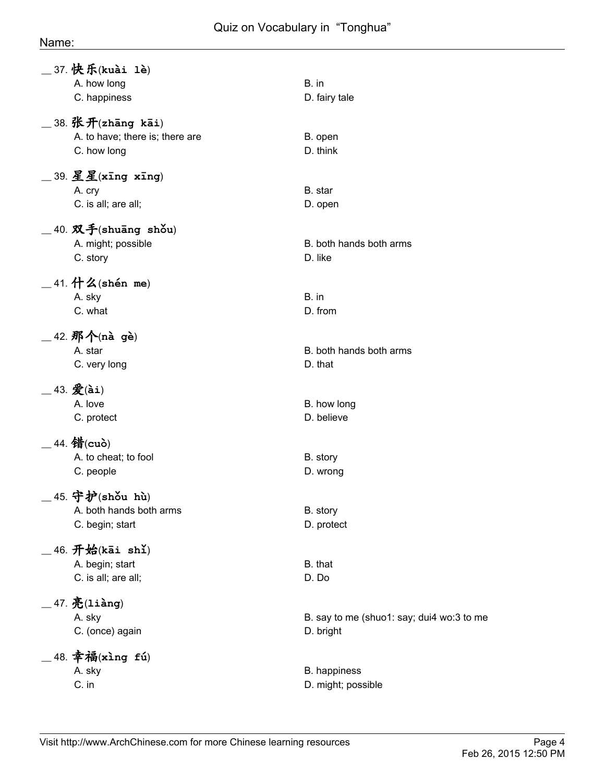## Name:

| _37. 快乐(kuài 1è)<br>A. how long<br>C. happiness                          | B. in<br>D. fairy tale                                 |
|--------------------------------------------------------------------------|--------------------------------------------------------|
| $\_$ 38. 张开(zhāng kāi)<br>A. to have; there is; there are<br>C. how long | B. open<br>D. think                                    |
| $\_$ 39. 星星(xīng xīng)<br>A. cry<br>C. is all; are all;                  | B. star<br>D. open                                     |
| $\_$ 40. 双手(shuāng shǒu)<br>A. might; possible<br>C. story               | B. both hands both arms<br>D. like                     |
| $\_$ 41. 什么(shén me)<br>A. sky<br>C. what                                | B. in<br>D. from                                       |
| $\_$ 42. 那个(nà gè)<br>A. star<br>C. very long                            | B. both hands both arms<br>D. that                     |
| $-$ 43. $\mathcal{L}$ (ài)<br>A. love<br>C. protect                      | B. how long<br>D. believe                              |
| $_$ 44. 错(cuò)<br>A. to cheat; to fool<br>C. people                      | B. story<br>D. wrong                                   |
| _45. 守护(shǒu hù)<br>A. both hands both arms<br>C. begin; start           | B. story<br>D. protect                                 |
| 46. 开始(kāi shǐ)<br>A. begin; start<br>C. is all; are all;                | B. that<br>D. Do                                       |
| $\_$ 47. $\mathbf{\tilde{E}}$ (liàng)<br>A. sky<br>C. (once) again       | B. say to me (shuo1: say; dui4 wo:3 to me<br>D. bright |
| 48. 幸福(xìng fú)<br>A. sky<br>C. in                                       | B. happiness<br>D. might; possible                     |
|                                                                          |                                                        |